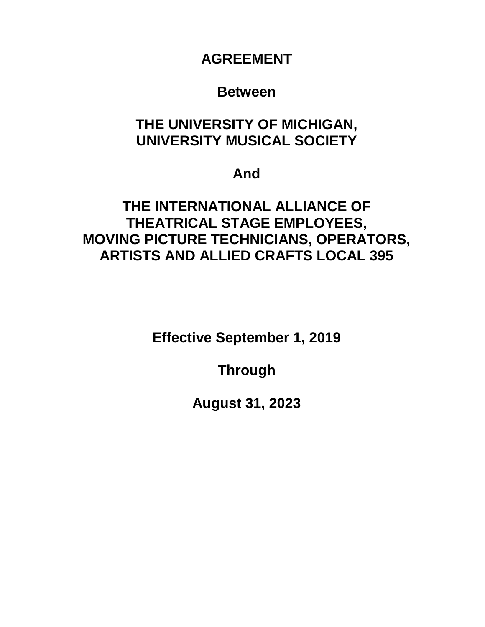**AGREEMENT**

## **Between**

# **THE UNIVERSITY OF MICHIGAN, UNIVERSITY MUSICAL SOCIETY**

# **And**

# **THE INTERNATIONAL ALLIANCE OF THEATRICAL STAGE EMPLOYEES, MOVING PICTURE TECHNICIANS, OPERATORS, ARTISTS AND ALLIED CRAFTS LOCAL 395**

**Effective September 1, 2019**

**Through**

**August 31, 2023**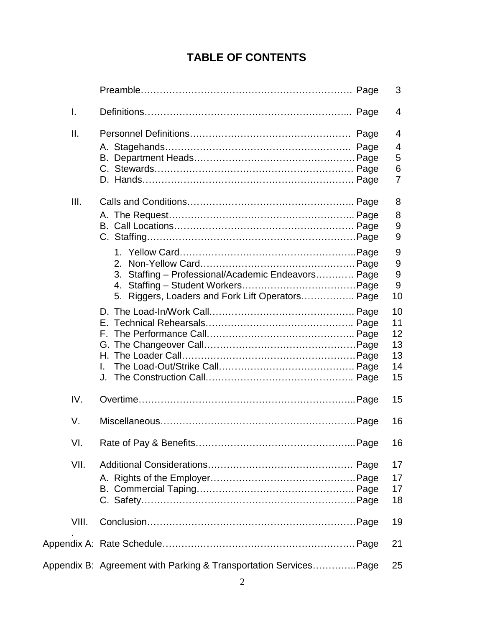# **TABLE OF CONTENTS**

|                |                                                                                                                    | 3                                      |
|----------------|--------------------------------------------------------------------------------------------------------------------|----------------------------------------|
| $\mathsf{I}$ . |                                                                                                                    | 4                                      |
| II.            |                                                                                                                    | 4<br>4<br>5<br>6<br>$\overline{7}$     |
| III.           |                                                                                                                    | 8<br>8<br>9<br>9                       |
|                | 2.<br>3. Staffing - Professional/Academic Endeavors Page<br>4.<br>5. Riggers, Loaders and Fork Lift Operators Page | 9<br>9<br>9<br>9<br>10                 |
|                |                                                                                                                    | 10<br>11<br>12<br>13<br>13<br>14<br>15 |
| IV.            |                                                                                                                    | 15                                     |
| V.             |                                                                                                                    | 16                                     |
| VI.            |                                                                                                                    | 16                                     |
| VII.           |                                                                                                                    | 17<br>17<br>17<br>18                   |
| VIII.          |                                                                                                                    | 19                                     |
|                |                                                                                                                    | 21                                     |
|                | Appendix B: Agreement with Parking & Transportation ServicesPage                                                   | 25                                     |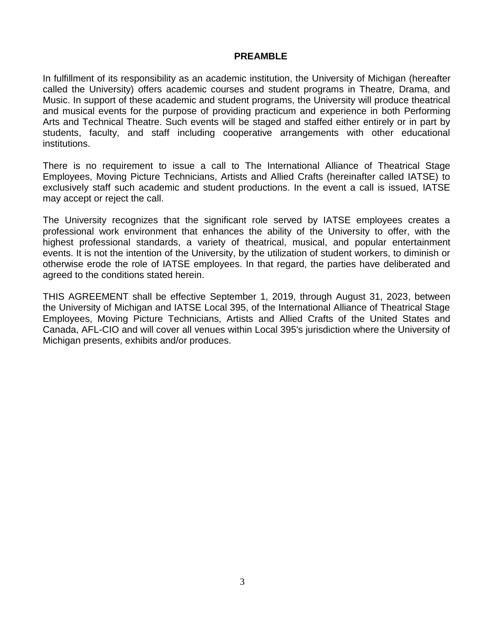#### **PREAMBLE**

In fulfillment of its responsibility as an academic institution, the University of Michigan (hereafter called the University) offers academic courses and student programs in Theatre, Drama, and Music. In support of these academic and student programs, the University will produce theatrical and musical events for the purpose of providing practicum and experience in both Performing Arts and Technical Theatre. Such events will be staged and staffed either entirely or in part by students, faculty, and staff including cooperative arrangements with other educational institutions.

There is no requirement to issue a call to The International Alliance of Theatrical Stage Employees, Moving Picture Technicians, Artists and Allied Crafts (hereinafter called IATSE) to exclusively staff such academic and student productions. In the event a call is issued, IATSE may accept or reject the call.

The University recognizes that the significant role served by IATSE employees creates a professional work environment that enhances the ability of the University to offer, with the highest professional standards, a variety of theatrical, musical, and popular entertainment events. It is not the intention of the University, by the utilization of student workers, to diminish or otherwise erode the role of IATSE employees. In that regard, the parties have deliberated and agreed to the conditions stated herein.

THIS AGREEMENT shall be effective September 1, 2019, through August 31, 2023, between the University of Michigan and IATSE Local 395, of the International Alliance of Theatrical Stage Employees, Moving Picture Technicians, Artists and Allied Crafts of the United States and Canada, AFL-CIO and will cover all venues within Local 395's jurisdiction where the University of Michigan presents, exhibits and/or produces.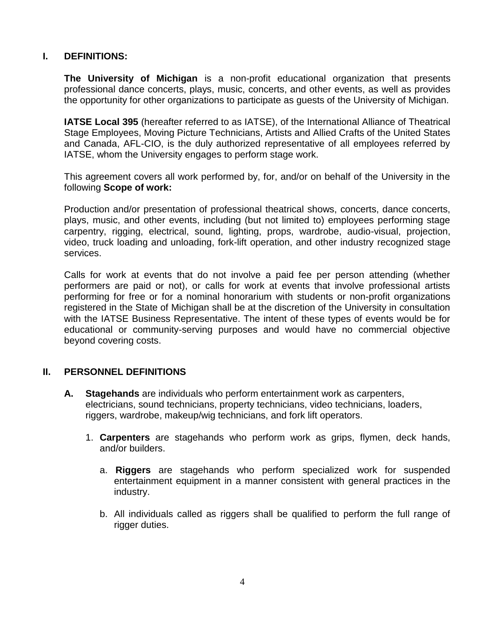## **I. DEFINITIONS:**

**The University of Michigan** is a non-profit educational organization that presents professional dance concerts, plays, music, concerts, and other events, as well as provides the opportunity for other organizations to participate as guests of the University of Michigan.

**IATSE Local 395** (hereafter referred to as IATSE), of the International Alliance of Theatrical Stage Employees, Moving Picture Technicians, Artists and Allied Crafts of the United States and Canada, AFL-CIO, is the duly authorized representative of all employees referred by IATSE, whom the University engages to perform stage work.

This agreement covers all work performed by, for, and/or on behalf of the University in the following **Scope of work:**

Production and/or presentation of professional theatrical shows, concerts, dance concerts, plays, music, and other events, including (but not limited to) employees performing stage carpentry, rigging, electrical, sound, lighting, props, wardrobe, audio-visual, projection, video, truck loading and unloading, fork-lift operation, and other industry recognized stage services.

Calls for work at events that do not involve a paid fee per person attending (whether performers are paid or not), or calls for work at events that involve professional artists performing for free or for a nominal honorarium with students or non-profit organizations registered in the State of Michigan shall be at the discretion of the University in consultation with the IATSE Business Representative. The intent of these types of events would be for educational or community-serving purposes and would have no commercial objective beyond covering costs.

## **II. PERSONNEL DEFINITIONS**

- **A. Stagehands** are individuals who perform entertainment work as carpenters, electricians, sound technicians, property technicians, video technicians, loaders, riggers, wardrobe, makeup/wig technicians, and fork lift operators.
	- 1. **Carpenters** are stagehands who perform work as grips, flymen, deck hands, and/or builders.
		- a. **Riggers** are stagehands who perform specialized work for suspended entertainment equipment in a manner consistent with general practices in the industry.
		- b. All individuals called as riggers shall be qualified to perform the full range of rigger duties.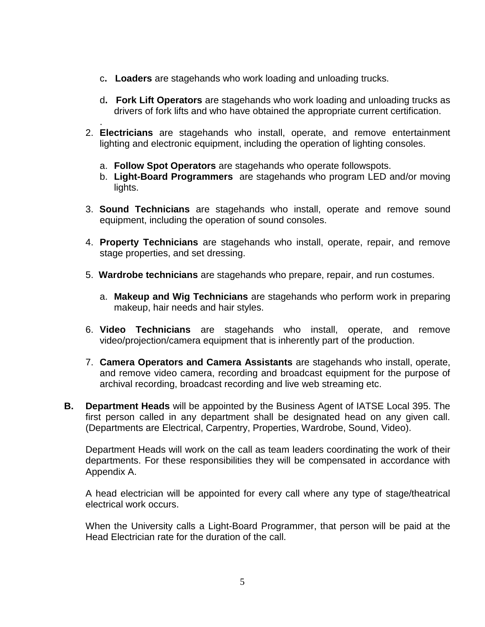- c**. Loaders** are stagehands who work loading and unloading trucks.
- d**. Fork Lift Operators** are stagehands who work loading and unloading trucks as drivers of fork lifts and who have obtained the appropriate current certification.
- . 2. **Electricians** are stagehands who install, operate, and remove entertainment lighting and electronic equipment, including the operation of lighting consoles.
	- a. **Follow Spot Operators** are stagehands who operate followspots.
	- b. **Light-Board Programmers** are stagehands who program LED and/or moving lights.
- 3. **Sound Technicians** are stagehands who install, operate and remove sound equipment, including the operation of sound consoles.
- 4. **Property Technicians** are stagehands who install, operate, repair, and remove stage properties, and set dressing.
- 5. **Wardrobe technicians** are stagehands who prepare, repair, and run costumes.
	- a. **Makeup and Wig Technicians** are stagehands who perform work in preparing makeup, hair needs and hair styles.
- 6. **Video Technicians** are stagehands who install, operate, and remove video/projection/camera equipment that is inherently part of the production.
- 7. **Camera Operators and Camera Assistants** are stagehands who install, operate, and remove video camera, recording and broadcast equipment for the purpose of archival recording, broadcast recording and live web streaming etc.
- **B. Department Heads** will be appointed by the Business Agent of IATSE Local 395. The first person called in any department shall be designated head on any given call. (Departments are Electrical, Carpentry, Properties, Wardrobe, Sound, Video).

Department Heads will work on the call as team leaders coordinating the work of their departments. For these responsibilities they will be compensated in accordance with Appendix A.

A head electrician will be appointed for every call where any type of stage/theatrical electrical work occurs.

When the University calls a Light-Board Programmer, that person will be paid at the Head Electrician rate for the duration of the call.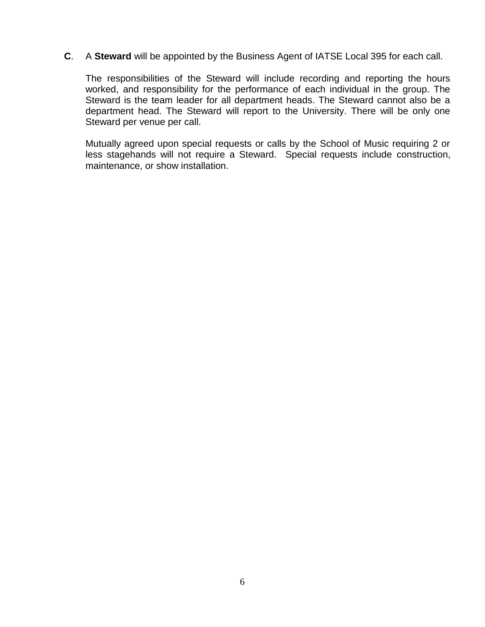**C**. A **Steward** will be appointed by the Business Agent of IATSE Local 395 for each call.

The responsibilities of the Steward will include recording and reporting the hours worked, and responsibility for the performance of each individual in the group. The Steward is the team leader for all department heads. The Steward cannot also be a department head. The Steward will report to the University. There will be only one Steward per venue per call.

Mutually agreed upon special requests or calls by the School of Music requiring 2 or less stagehands will not require a Steward. Special requests include construction, maintenance, or show installation.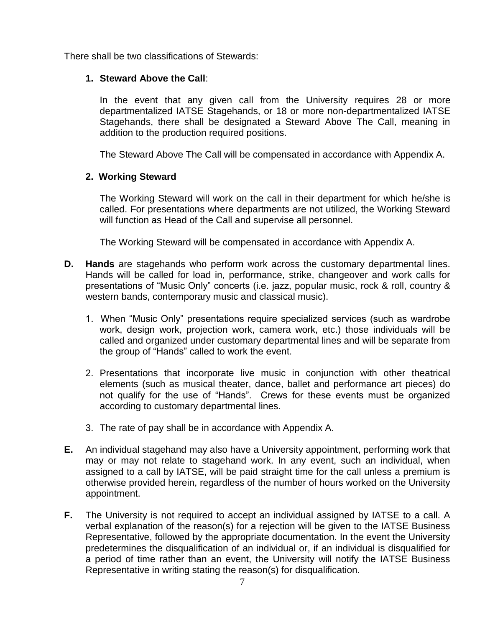There shall be two classifications of Stewards:

## **1. Steward Above the Call**:

In the event that any given call from the University requires 28 or more departmentalized IATSE Stagehands, or 18 or more non-departmentalized IATSE Stagehands, there shall be designated a Steward Above The Call, meaning in addition to the production required positions.

The Steward Above The Call will be compensated in accordance with Appendix A.

## **2. Working Steward**

The Working Steward will work on the call in their department for which he/she is called. For presentations where departments are not utilized, the Working Steward will function as Head of the Call and supervise all personnel.

The Working Steward will be compensated in accordance with Appendix A.

- **D. Hands** are stagehands who perform work across the customary departmental lines. Hands will be called for load in, performance, strike, changeover and work calls for presentations of "Music Only" concerts (i.e. jazz, popular music, rock & roll, country & western bands, contemporary music and classical music).
	- 1. When "Music Only" presentations require specialized services (such as wardrobe work, design work, projection work, camera work, etc.) those individuals will be called and organized under customary departmental lines and will be separate from the group of "Hands" called to work the event.
	- 2. Presentations that incorporate live music in conjunction with other theatrical elements (such as musical theater, dance, ballet and performance art pieces) do not qualify for the use of "Hands". Crews for these events must be organized according to customary departmental lines.
	- 3. The rate of pay shall be in accordance with Appendix A.
- **E.** An individual stagehand may also have a University appointment, performing work that may or may not relate to stagehand work. In any event, such an individual, when assigned to a call by IATSE, will be paid straight time for the call unless a premium is otherwise provided herein, regardless of the number of hours worked on the University appointment.
- **F.** The University is not required to accept an individual assigned by IATSE to a call. A verbal explanation of the reason(s) for a rejection will be given to the IATSE Business Representative, followed by the appropriate documentation. In the event the University predetermines the disqualification of an individual or, if an individual is disqualified for a period of time rather than an event, the University will notify the IATSE Business Representative in writing stating the reason(s) for disqualification.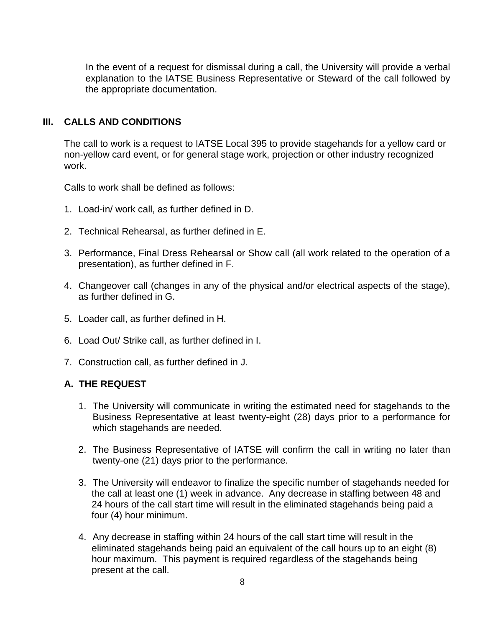In the event of a request for dismissal during a call, the University will provide a verbal explanation to the IATSE Business Representative or Steward of the call followed by the appropriate documentation.

## **III. CALLS AND CONDITIONS**

The call to work is a request to IATSE Local 395 to provide stagehands for a yellow card or non-yellow card event, or for general stage work, projection or other industry recognized work.

Calls to work shall be defined as follows:

- 1. Load-in/ work call, as further defined in D.
- 2. Technical Rehearsal, as further defined in E.
- 3. Performance, Final Dress Rehearsal or Show call (all work related to the operation of a presentation), as further defined in F.
- 4. Changeover call (changes in any of the physical and/or electrical aspects of the stage), as further defined in G.
- 5. Loader call, as further defined in H.
- 6. Load Out/ Strike call, as further defined in I.
- 7. Construction call, as further defined in J.

## **A. THE REQUEST**

- 1. The University will communicate in writing the estimated need for stagehands to the Business Representative at least twenty-eight (28) days prior to a performance for which stagehands are needed.
- 2. The Business Representative of IATSE will confirm the call in writing no later than twenty-one (21) days prior to the performance.
- 3. The University will endeavor to finalize the specific number of stagehands needed for the call at least one (1) week in advance. Any decrease in staffing between 48 and 24 hours of the call start time will result in the eliminated stagehands being paid a four (4) hour minimum.
- 4. Any decrease in staffing within 24 hours of the call start time will result in the eliminated stagehands being paid an equivalent of the call hours up to an eight (8) hour maximum. This payment is required regardless of the stagehands being present at the call.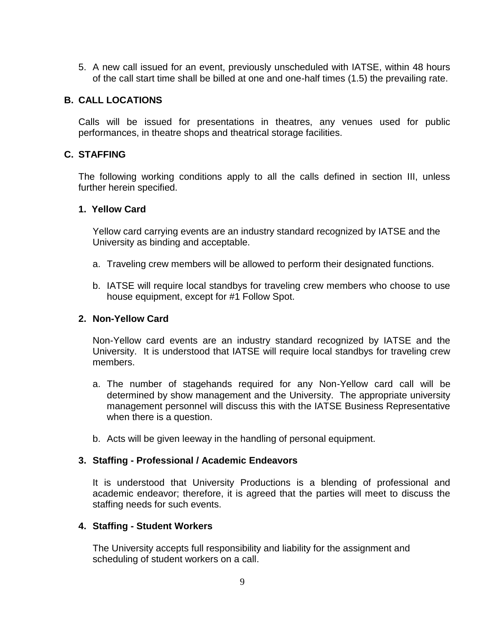5. A new call issued for an event, previously unscheduled with IATSE, within 48 hours of the call start time shall be billed at one and one-half times (1.5) the prevailing rate.

#### **B. CALL LOCATIONS**

Calls will be issued for presentations in theatres, any venues used for public performances, in theatre shops and theatrical storage facilities.

#### **C. STAFFING**

The following working conditions apply to all the calls defined in section III, unless further herein specified.

#### **1. Yellow Card**

Yellow card carrying events are an industry standard recognized by IATSE and the University as binding and acceptable.

- a. Traveling crew members will be allowed to perform their designated functions.
- b. IATSE will require local standbys for traveling crew members who choose to use house equipment, except for #1 Follow Spot.

#### **2. Non-Yellow Card**

Non-Yellow card events are an industry standard recognized by IATSE and the University. It is understood that IATSE will require local standbys for traveling crew members.

- a. The number of stagehands required for any Non-Yellow card call will be determined by show management and the University. The appropriate university management personnel will discuss this with the IATSE Business Representative when there is a question.
- b. Acts will be given leeway in the handling of personal equipment.

#### **3. Staffing - Professional / Academic Endeavors**

It is understood that University Productions is a blending of professional and academic endeavor; therefore, it is agreed that the parties will meet to discuss the staffing needs for such events.

#### **4. Staffing - Student Workers**

The University accepts full responsibility and liability for the assignment and scheduling of student workers on a call.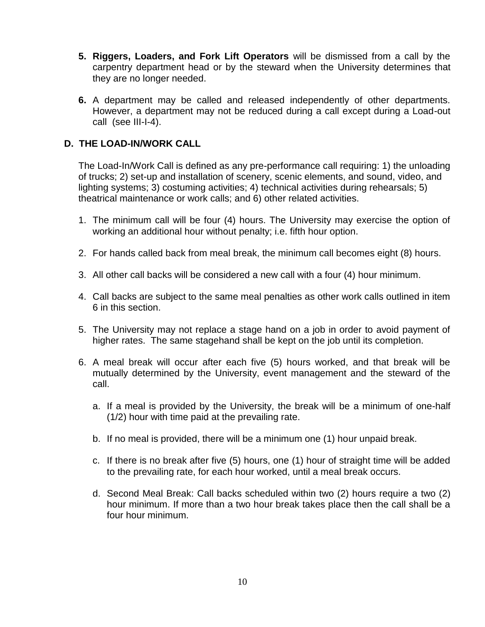- **5. Riggers, Loaders, and Fork Lift Operators** will be dismissed from a call by the carpentry department head or by the steward when the University determines that they are no longer needed.
- **6.** A department may be called and released independently of other departments. However, a department may not be reduced during a call except during a Load-out call (see III-I-4).

## **D. THE LOAD-IN/WORK CALL**

The Load-In/Work Call is defined as any pre-performance call requiring: 1) the unloading of trucks; 2) set-up and installation of scenery, scenic elements, and sound, video, and lighting systems; 3) costuming activities; 4) technical activities during rehearsals; 5) theatrical maintenance or work calls; and 6) other related activities.

- 1. The minimum call will be four (4) hours. The University may exercise the option of working an additional hour without penalty; i.e. fifth hour option.
- 2. For hands called back from meal break, the minimum call becomes eight (8) hours.
- 3. All other call backs will be considered a new call with a four (4) hour minimum.
- 4. Call backs are subject to the same meal penalties as other work calls outlined in item 6 in this section.
- 5. The University may not replace a stage hand on a job in order to avoid payment of higher rates. The same stagehand shall be kept on the job until its completion.
- 6. A meal break will occur after each five (5) hours worked, and that break will be mutually determined by the University, event management and the steward of the call.
	- a. If a meal is provided by the University, the break will be a minimum of one-half (1/2) hour with time paid at the prevailing rate.
	- b. If no meal is provided, there will be a minimum one (1) hour unpaid break.
	- c. If there is no break after five (5) hours, one (1) hour of straight time will be added to the prevailing rate, for each hour worked, until a meal break occurs.
	- d. Second Meal Break: Call backs scheduled within two (2) hours require a two (2) hour minimum. If more than a two hour break takes place then the call shall be a four hour minimum.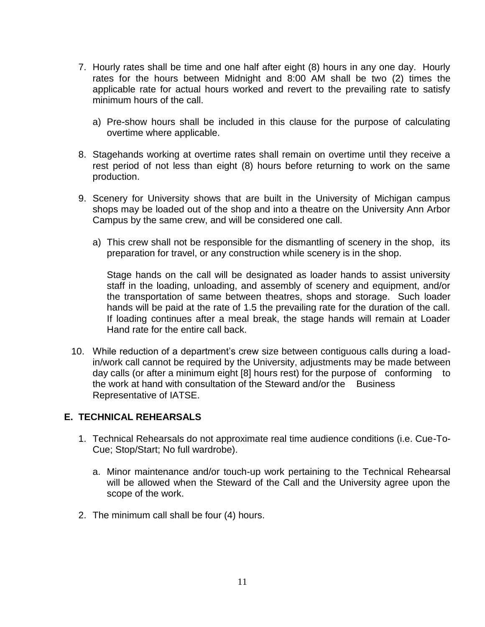- 7. Hourly rates shall be time and one half after eight (8) hours in any one day. Hourly rates for the hours between Midnight and 8:00 AM shall be two (2) times the applicable rate for actual hours worked and revert to the prevailing rate to satisfy minimum hours of the call.
	- a) Pre-show hours shall be included in this clause for the purpose of calculating overtime where applicable.
- 8. Stagehands working at overtime rates shall remain on overtime until they receive a rest period of not less than eight (8) hours before returning to work on the same production.
- 9. Scenery for University shows that are built in the University of Michigan campus shops may be loaded out of the shop and into a theatre on the University Ann Arbor Campus by the same crew, and will be considered one call.
	- a) This crew shall not be responsible for the dismantling of scenery in the shop, its preparation for travel, or any construction while scenery is in the shop.

Stage hands on the call will be designated as loader hands to assist university staff in the loading, unloading, and assembly of scenery and equipment, and/or the transportation of same between theatres, shops and storage. Such loader hands will be paid at the rate of 1.5 the prevailing rate for the duration of the call. If loading continues after a meal break, the stage hands will remain at Loader Hand rate for the entire call back.

10. While reduction of a department's crew size between contiguous calls during a loadin/work call cannot be required by the University, adjustments may be made between day calls (or after a minimum eight [8] hours rest) for the purpose of conforming to the work at hand with consultation of the Steward and/or the Business Representative of IATSE.

## **E. TECHNICAL REHEARSALS**

- 1. Technical Rehearsals do not approximate real time audience conditions (i.e. Cue-To-Cue; Stop/Start; No full wardrobe).
	- a. Minor maintenance and/or touch-up work pertaining to the Technical Rehearsal will be allowed when the Steward of the Call and the University agree upon the scope of the work.
- 2. The minimum call shall be four (4) hours.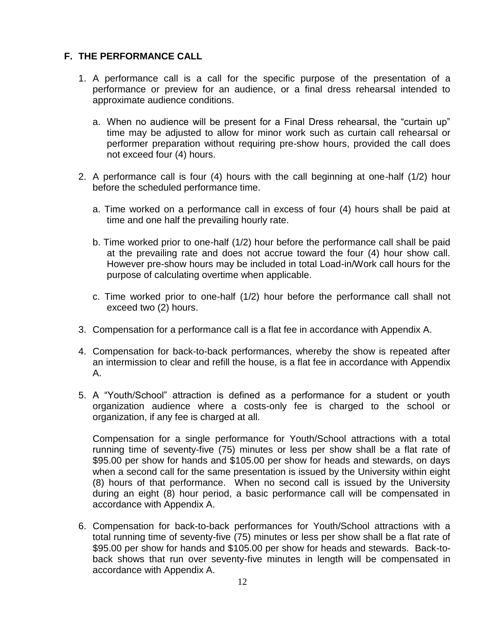## **F. THE PERFORMANCE CALL**

- 1. A performance call is a call for the specific purpose of the presentation of a performance or preview for an audience, or a final dress rehearsal intended to approximate audience conditions.
	- a. When no audience will be present for a Final Dress rehearsal, the "curtain up" time may be adjusted to allow for minor work such as curtain call rehearsal or performer preparation without requiring pre-show hours, provided the call does not exceed four (4) hours.
- 2. A performance call is four (4) hours with the call beginning at one-half (1/2) hour before the scheduled performance time.
	- a. Time worked on a performance call in excess of four (4) hours shall be paid at time and one half the prevailing hourly rate.
	- b. Time worked prior to one-half (1/2) hour before the performance call shall be paid at the prevailing rate and does not accrue toward the four (4) hour show call. However pre-show hours may be included in total Load-in/Work call hours for the purpose of calculating overtime when applicable.
	- c. Time worked prior to one-half (1/2) hour before the performance call shall not exceed two (2) hours.
- 3. Compensation for a performance call is a flat fee in accordance with Appendix A.
- 4. Compensation for back-to-back performances, whereby the show is repeated after an intermission to clear and refill the house, is a flat fee in accordance with Appendix A.
- 5. A "Youth/School" attraction is defined as a performance for a student or youth organization audience where a costs-only fee is charged to the school or organization, if any fee is charged at all.

Compensation for a single performance for Youth/School attractions with a total running time of seventy-five (75) minutes or less per show shall be a flat rate of \$95.00 per show for hands and \$105.00 per show for heads and stewards, on days when a second call for the same presentation is issued by the University within eight (8) hours of that performance. When no second call is issued by the University during an eight (8) hour period, a basic performance call will be compensated in accordance with Appendix A.

6. Compensation for back-to-back performances for Youth/School attractions with a total running time of seventy-five (75) minutes or less per show shall be a flat rate of \$95.00 per show for hands and \$105.00 per show for heads and stewards. Back-toback shows that run over seventy-five minutes in length will be compensated in accordance with Appendix A.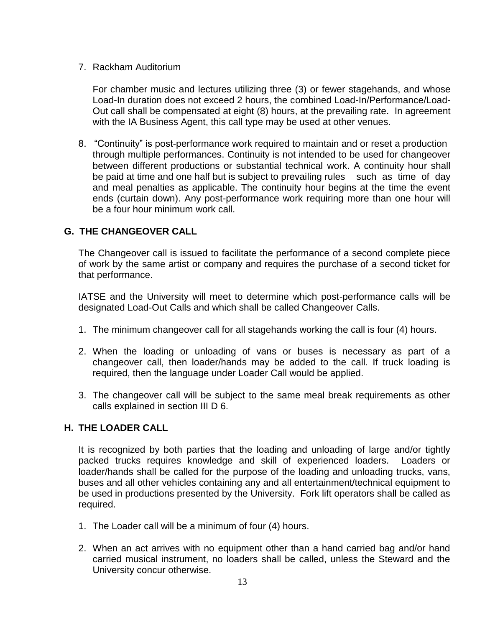## 7. Rackham Auditorium

For chamber music and lectures utilizing three (3) or fewer stagehands, and whose Load-In duration does not exceed 2 hours, the combined Load-In/Performance/Load-Out call shall be compensated at eight (8) hours, at the prevailing rate. In agreement with the IA Business Agent, this call type may be used at other venues.

8. "Continuity" is post-performance work required to maintain and or reset a production through multiple performances. Continuity is not intended to be used for changeover between different productions or substantial technical work. A continuity hour shall be paid at time and one half but is subject to prevailing rules such as time of day and meal penalties as applicable. The continuity hour begins at the time the event ends (curtain down). Any post-performance work requiring more than one hour will be a four hour minimum work call.

## **G. THE CHANGEOVER CALL**

The Changeover call is issued to facilitate the performance of a second complete piece of work by the same artist or company and requires the purchase of a second ticket for that performance.

IATSE and the University will meet to determine which post-performance calls will be designated Load-Out Calls and which shall be called Changeover Calls.

- 1. The minimum changeover call for all stagehands working the call is four (4) hours.
- 2. When the loading or unloading of vans or buses is necessary as part of a changeover call, then loader/hands may be added to the call. If truck loading is required, then the language under Loader Call would be applied.
- 3. The changeover call will be subject to the same meal break requirements as other calls explained in section III D 6.

## **H. THE LOADER CALL**

It is recognized by both parties that the loading and unloading of large and/or tightly packed trucks requires knowledge and skill of experienced loaders. Loaders or loader/hands shall be called for the purpose of the loading and unloading trucks, vans, buses and all other vehicles containing any and all entertainment/technical equipment to be used in productions presented by the University. Fork lift operators shall be called as required.

- 1. The Loader call will be a minimum of four (4) hours.
- 2. When an act arrives with no equipment other than a hand carried bag and/or hand carried musical instrument, no loaders shall be called, unless the Steward and the University concur otherwise.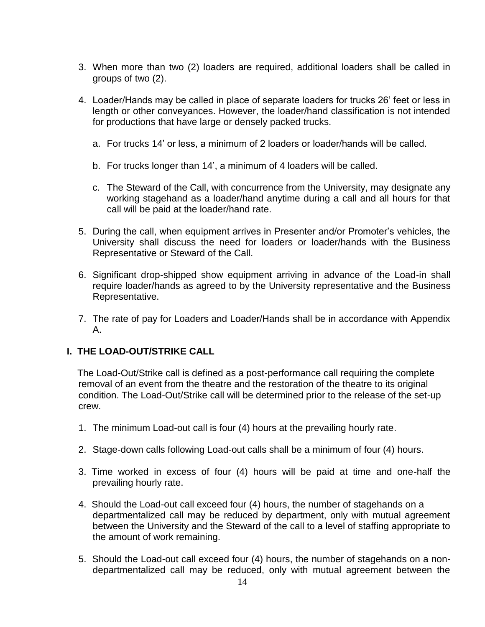- 3. When more than two (2) loaders are required, additional loaders shall be called in groups of two (2).
- 4. Loader/Hands may be called in place of separate loaders for trucks 26' feet or less in length or other conveyances. However, the loader/hand classification is not intended for productions that have large or densely packed trucks.
	- a. For trucks 14' or less, a minimum of 2 loaders or loader/hands will be called.
	- b. For trucks longer than 14', a minimum of 4 loaders will be called.
	- c. The Steward of the Call, with concurrence from the University, may designate any working stagehand as a loader/hand anytime during a call and all hours for that call will be paid at the loader/hand rate.
- 5. During the call, when equipment arrives in Presenter and/or Promoter's vehicles, the University shall discuss the need for loaders or loader/hands with the Business Representative or Steward of the Call.
- 6. Significant drop-shipped show equipment arriving in advance of the Load-in shall require loader/hands as agreed to by the University representative and the Business Representative.
- 7. The rate of pay for Loaders and Loader/Hands shall be in accordance with Appendix A.

## **I. THE LOAD-OUT/STRIKE CALL**

 The Load-Out/Strike call is defined as a post-performance call requiring the complete removal of an event from the theatre and the restoration of the theatre to its original condition. The Load-Out/Strike call will be determined prior to the release of the set-up crew.

- 1. The minimum Load-out call is four (4) hours at the prevailing hourly rate.
- 2. Stage-down calls following Load-out calls shall be a minimum of four (4) hours.
- 3. Time worked in excess of four (4) hours will be paid at time and one-half the prevailing hourly rate.
- 4. Should the Load-out call exceed four (4) hours, the number of stagehands on a departmentalized call may be reduced by department, only with mutual agreement between the University and the Steward of the call to a level of staffing appropriate to the amount of work remaining.
- 5. Should the Load-out call exceed four (4) hours, the number of stagehands on a nondepartmentalized call may be reduced, only with mutual agreement between the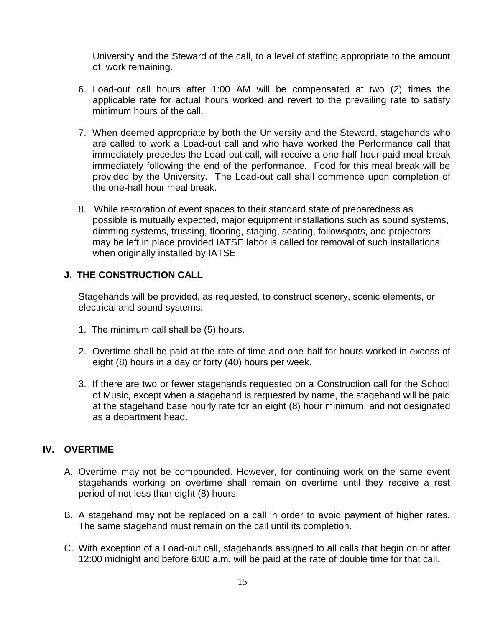University and the Steward of the call, to a level of staffing appropriate to the amount of work remaining.

- 6. Load-out call hours after 1:00 AM will be compensated at two (2) times the applicable rate for actual hours worked and revert to the prevailing rate to satisfy minimum hours of the call.
- 7. When deemed appropriate by both the University and the Steward, stagehands who are called to work a Load-out call and who have worked the Performance call that immediately precedes the Load-out call, will receive a one-half hour paid meal break immediately following the end of the performance. Food for this meal break will be provided by the University. The Load-out call shall commence upon completion of the one-half hour meal break.
- 8. While restoration of event spaces to their standard state of preparedness as possible is mutually expected, major equipment installations such as sound systems, dimming systems, trussing, flooring, staging, seating, followspots, and projectors may be left in place provided IATSE labor is called for removal of such installations when originally installed by IATSE.

## **J. THE CONSTRUCTION CALL**

Stagehands will be provided, as requested, to construct scenery, scenic elements, or electrical and sound systems.

- 1. The minimum call shall be (5) hours.
- 2. Overtime shall be paid at the rate of time and one-half for hours worked in excess of eight (8) hours in a day or forty (40) hours per week.
- 3. If there are two or fewer stagehands requested on a Construction call for the School of Music, except when a stagehand is requested by name, the stagehand will be paid at the stagehand base hourly rate for an eight (8) hour minimum, and not designated as a department head.

## **IV. OVERTIME**

- A. Overtime may not be compounded. However, for continuing work on the same event stagehands working on overtime shall remain on overtime until they receive a rest period of not less than eight (8) hours.
- B. A stagehand may not be replaced on a call in order to avoid payment of higher rates. The same stagehand must remain on the call until its completion.
- C. With exception of a Load-out call, stagehands assigned to all calls that begin on or after 12:00 midnight and before 6:00 a.m. will be paid at the rate of double time for that call.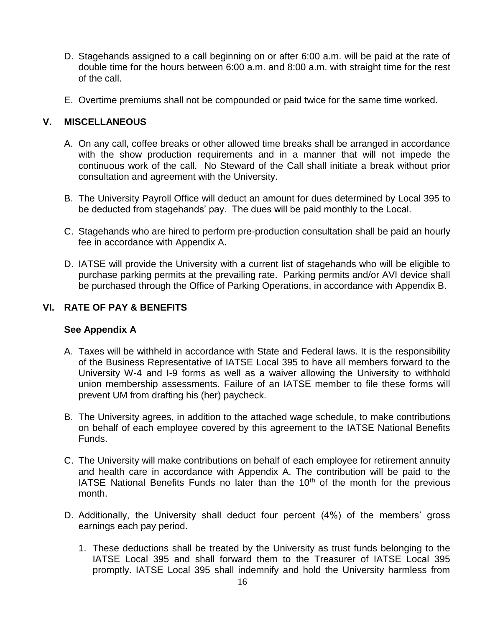- D. Stagehands assigned to a call beginning on or after 6:00 a.m. will be paid at the rate of double time for the hours between 6:00 a.m. and 8:00 a.m. with straight time for the rest of the call.
- E. Overtime premiums shall not be compounded or paid twice for the same time worked.

## **V. MISCELLANEOUS**

- A. On any call, coffee breaks or other allowed time breaks shall be arranged in accordance with the show production requirements and in a manner that will not impede the continuous work of the call. No Steward of the Call shall initiate a break without prior consultation and agreement with the University.
- B. The University Payroll Office will deduct an amount for dues determined by Local 395 to be deducted from stagehands' pay. The dues will be paid monthly to the Local.
- C. Stagehands who are hired to perform pre-production consultation shall be paid an hourly fee in accordance with Appendix A**.**
- D. IATSE will provide the University with a current list of stagehands who will be eligible to purchase parking permits at the prevailing rate. Parking permits and/or AVI device shall be purchased through the Office of Parking Operations, in accordance with Appendix B.

## **VI. RATE OF PAY & BENEFITS**

## **See Appendix A**

- A. Taxes will be withheld in accordance with State and Federal laws. It is the responsibility of the Business Representative of IATSE Local 395 to have all members forward to the University W-4 and I-9 forms as well as a waiver allowing the University to withhold union membership assessments. Failure of an IATSE member to file these forms will prevent UM from drafting his (her) paycheck.
- B. The University agrees, in addition to the attached wage schedule, to make contributions on behalf of each employee covered by this agreement to the IATSE National Benefits Funds.
- C. The University will make contributions on behalf of each employee for retirement annuity and health care in accordance with Appendix A. The contribution will be paid to the IATSE National Benefits Funds no later than the  $10<sup>th</sup>$  of the month for the previous month.
- D. Additionally, the University shall deduct four percent (4%) of the members' gross earnings each pay period.
	- 1. These deductions shall be treated by the University as trust funds belonging to the IATSE Local 395 and shall forward them to the Treasurer of IATSE Local 395 promptly. IATSE Local 395 shall indemnify and hold the University harmless from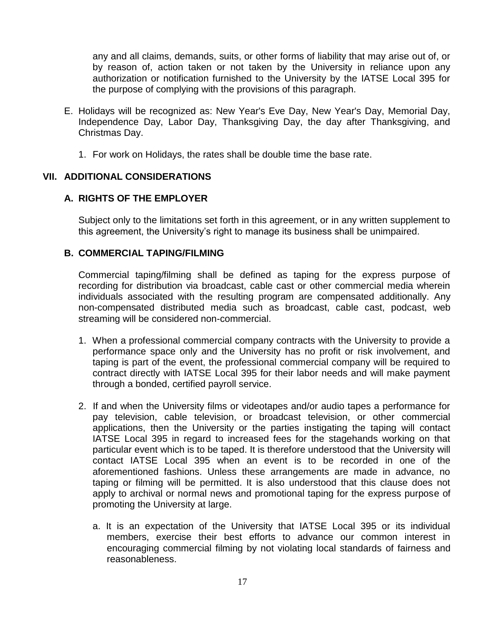any and all claims, demands, suits, or other forms of liability that may arise out of, or by reason of, action taken or not taken by the University in reliance upon any authorization or notification furnished to the University by the IATSE Local 395 for the purpose of complying with the provisions of this paragraph.

- E. Holidays will be recognized as: New Year's Eve Day, New Year's Day, Memorial Day, Independence Day, Labor Day, Thanksgiving Day, the day after Thanksgiving, and Christmas Day.
	- 1. For work on Holidays, the rates shall be double time the base rate.

## **VII. ADDITIONAL CONSIDERATIONS**

## **A. RIGHTS OF THE EMPLOYER**

Subject only to the limitations set forth in this agreement, or in any written supplement to this agreement, the University's right to manage its business shall be unimpaired.

## **B. COMMERCIAL TAPING/FILMING**

Commercial taping/filming shall be defined as taping for the express purpose of recording for distribution via broadcast, cable cast or other commercial media wherein individuals associated with the resulting program are compensated additionally. Any non-compensated distributed media such as broadcast, cable cast, podcast, web streaming will be considered non-commercial.

- 1. When a professional commercial company contracts with the University to provide a performance space only and the University has no profit or risk involvement, and taping is part of the event, the professional commercial company will be required to contract directly with IATSE Local 395 for their labor needs and will make payment through a bonded, certified payroll service.
- 2. If and when the University films or videotapes and/or audio tapes a performance for pay television, cable television, or broadcast television, or other commercial applications, then the University or the parties instigating the taping will contact IATSE Local 395 in regard to increased fees for the stagehands working on that particular event which is to be taped. It is therefore understood that the University will contact IATSE Local 395 when an event is to be recorded in one of the aforementioned fashions. Unless these arrangements are made in advance, no taping or filming will be permitted. It is also understood that this clause does not apply to archival or normal news and promotional taping for the express purpose of promoting the University at large.
	- a. It is an expectation of the University that IATSE Local 395 or its individual members, exercise their best efforts to advance our common interest in encouraging commercial filming by not violating local standards of fairness and reasonableness.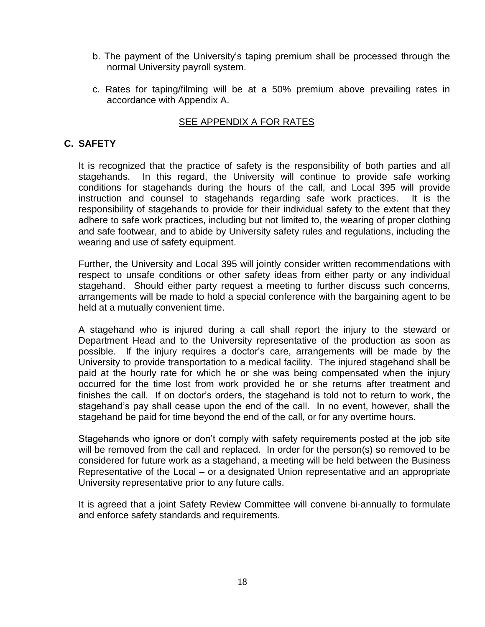- b. The payment of the University's taping premium shall be processed through the normal University payroll system.
- c. Rates for taping/filming will be at a 50% premium above prevailing rates in accordance with Appendix A.

## SEE APPENDIX A FOR RATES

## **C. SAFETY**

It is recognized that the practice of safety is the responsibility of both parties and all stagehands. In this regard, the University will continue to provide safe working conditions for stagehands during the hours of the call, and Local 395 will provide instruction and counsel to stagehands regarding safe work practices. It is the responsibility of stagehands to provide for their individual safety to the extent that they adhere to safe work practices, including but not limited to, the wearing of proper clothing and safe footwear, and to abide by University safety rules and regulations, including the wearing and use of safety equipment.

Further, the University and Local 395 will jointly consider written recommendations with respect to unsafe conditions or other safety ideas from either party or any individual stagehand. Should either party request a meeting to further discuss such concerns, arrangements will be made to hold a special conference with the bargaining agent to be held at a mutually convenient time.

A stagehand who is injured during a call shall report the injury to the steward or Department Head and to the University representative of the production as soon as possible. If the injury requires a doctor's care, arrangements will be made by the University to provide transportation to a medical facility. The injured stagehand shall be paid at the hourly rate for which he or she was being compensated when the injury occurred for the time lost from work provided he or she returns after treatment and finishes the call. If on doctor's orders, the stagehand is told not to return to work, the stagehand's pay shall cease upon the end of the call. In no event, however, shall the stagehand be paid for time beyond the end of the call, or for any overtime hours.

Stagehands who ignore or don't comply with safety requirements posted at the job site will be removed from the call and replaced. In order for the person(s) so removed to be considered for future work as a stagehand, a meeting will be held between the Business Representative of the Local – or a designated Union representative and an appropriate University representative prior to any future calls.

It is agreed that a joint Safety Review Committee will convene bi-annually to formulate and enforce safety standards and requirements.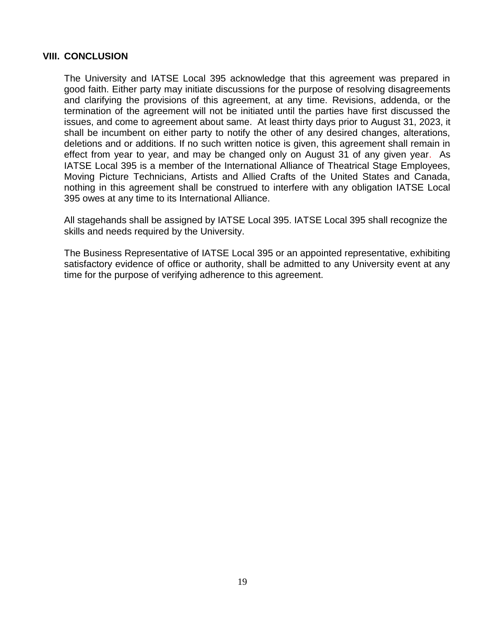## **VIII. CONCLUSION**

The University and IATSE Local 395 acknowledge that this agreement was prepared in good faith. Either party may initiate discussions for the purpose of resolving disagreements and clarifying the provisions of this agreement, at any time. Revisions, addenda, or the termination of the agreement will not be initiated until the parties have first discussed the issues, and come to agreement about same. At least thirty days prior to August 31, 2023, it shall be incumbent on either party to notify the other of any desired changes, alterations, deletions and or additions. If no such written notice is given, this agreement shall remain in effect from year to year, and may be changed only on August 31 of any given year. As IATSE Local 395 is a member of the International Alliance of Theatrical Stage Employees, Moving Picture Technicians, Artists and Allied Crafts of the United States and Canada, nothing in this agreement shall be construed to interfere with any obligation IATSE Local 395 owes at any time to its International Alliance.

All stagehands shall be assigned by IATSE Local 395. IATSE Local 395 shall recognize the skills and needs required by the University.

The Business Representative of IATSE Local 395 or an appointed representative, exhibiting satisfactory evidence of office or authority, shall be admitted to any University event at any time for the purpose of verifying adherence to this agreement.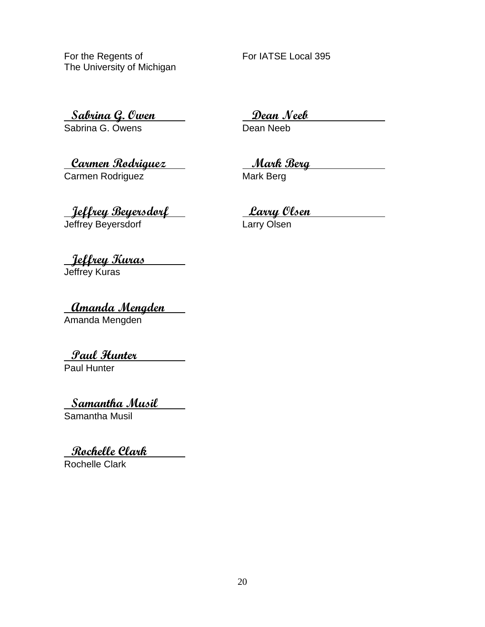For the Regents of For IATSE Local 395 The University of Michigan

**Sabrina G. Owen Dean Neeb**

Sabrina G. Owens

**Carmen Rodriguez Mark Berg** Carmen Rodriguez

**Jeffrey Beyersdorf Larry Olsen**

Jeffrey Beyersdorf **Lack Contact Contact Contact Contact Contact Contact Contact Contact Contact Contact Conta** 

**Jeffrey Kuras** Jeffrey Kuras

**Amanda Mengden** Amanda Mengden

**Paul Hunter**

Paul Hunter

**Samantha Musil**

Samantha Musil

**Rochelle Clark**

Rochelle Clark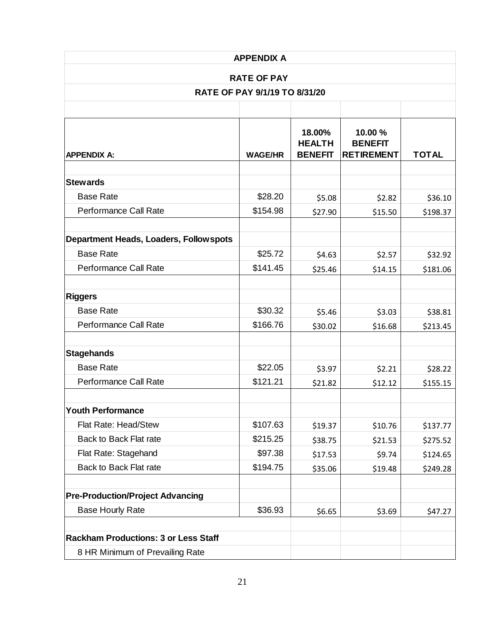| <b>APPENDIX A</b><br><b>RATE OF PAY</b>               |                     |                                           |                                                |                      |
|-------------------------------------------------------|---------------------|-------------------------------------------|------------------------------------------------|----------------------|
|                                                       |                     |                                           |                                                |                      |
|                                                       |                     |                                           |                                                |                      |
| <b>APPENDIX A:</b>                                    | <b>WAGE/HR</b>      | 18.00%<br><b>HEALTH</b><br><b>BENEFIT</b> | 10.00 %<br><b>BENEFIT</b><br><b>RETIREMENT</b> | <b>TOTAL</b>         |
| <b>Stewards</b>                                       |                     |                                           |                                                |                      |
| <b>Base Rate</b>                                      | \$28.20             | \$5.08                                    | \$2.82                                         | \$36.10              |
| Performance Call Rate                                 | \$154.98            | \$27.90                                   | \$15.50                                        | \$198.37             |
| Department Heads, Loaders, Follow spots               |                     |                                           |                                                |                      |
| <b>Base Rate</b>                                      | \$25.72             | \$4.63                                    | \$2.57                                         | \$32.92              |
| Performance Call Rate                                 | \$141.45            | \$25.46                                   | \$14.15                                        | \$181.06             |
| <b>Riggers</b>                                        |                     |                                           |                                                |                      |
| <b>Base Rate</b>                                      | \$30.32             | \$5.46                                    | \$3.03                                         | \$38.81              |
| Performance Call Rate                                 | \$166.76            | \$30.02                                   | \$16.68                                        | \$213.45             |
| <b>Stagehands</b>                                     |                     |                                           |                                                |                      |
| <b>Base Rate</b>                                      | \$22.05             | \$3.97                                    | \$2.21                                         | \$28.22              |
| <b>Performance Call Rate</b>                          | \$121.21            | \$21.82                                   | \$12.12                                        | \$155.15             |
|                                                       |                     |                                           |                                                |                      |
| <b>Youth Performance</b>                              |                     |                                           |                                                |                      |
| Flat Rate: Head/Stew                                  | \$107.63            | \$19.37                                   | \$10.76                                        | \$137.77             |
| Back to Back Flat rate                                | \$215.25            | \$38.75                                   | \$21.53                                        | \$275.52             |
| Flat Rate: Stagehand<br><b>Back to Back Flat rate</b> | \$97.38<br>\$194.75 | \$17.53<br>\$35.06                        | \$9.74<br>\$19.48                              | \$124.65<br>\$249.28 |
|                                                       |                     |                                           |                                                |                      |
| <b>Pre-Production/Project Advancing</b>               |                     |                                           |                                                |                      |
| <b>Base Hourly Rate</b>                               | \$36.93             | \$6.65                                    | \$3.69                                         | \$47.27              |
| <b>Rackham Productions: 3 or Less Staff</b>           |                     |                                           |                                                |                      |
| 8 HR Minimum of Prevailing Rate                       |                     |                                           |                                                |                      |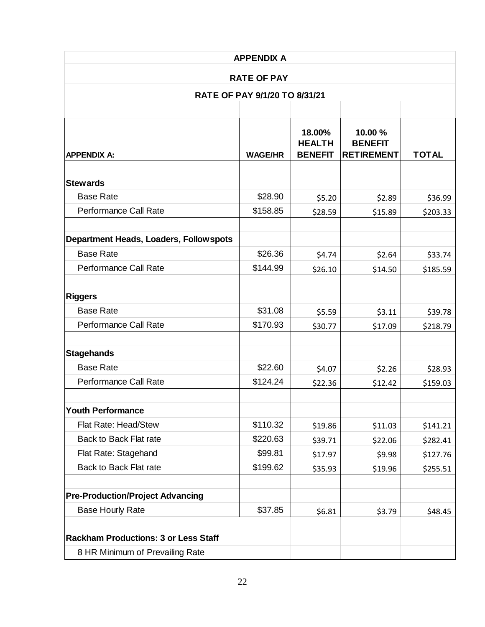| <b>APPENDIX A</b>                                   |                |                                           |                                                |              |
|-----------------------------------------------------|----------------|-------------------------------------------|------------------------------------------------|--------------|
| <b>RATE OF PAY</b><br>RATE OF PAY 9/1/20 TO 8/31/21 |                |                                           |                                                |              |
|                                                     |                |                                           |                                                |              |
| <b>APPENDIX A:</b>                                  | <b>WAGE/HR</b> | 18.00%<br><b>HEALTH</b><br><b>BENEFIT</b> | 10.00 %<br><b>BENEFIT</b><br><b>RETIREMENT</b> | <b>TOTAL</b> |
| <b>Stewards</b>                                     |                |                                           |                                                |              |
| <b>Base Rate</b>                                    | \$28.90        | \$5.20                                    | \$2.89                                         | \$36.99      |
| Performance Call Rate                               | \$158.85       | \$28.59                                   | \$15.89                                        | \$203.33     |
| <b>Department Heads, Loaders, Follow spots</b>      |                |                                           |                                                |              |
| <b>Base Rate</b>                                    | \$26.36        | \$4.74                                    | \$2.64                                         | \$33.74      |
| Performance Call Rate                               | \$144.99       | \$26.10                                   | \$14.50                                        | \$185.59     |
| <b>Riggers</b>                                      |                |                                           |                                                |              |
| <b>Base Rate</b>                                    | \$31.08        | \$5.59                                    | \$3.11                                         | \$39.78      |
| Performance Call Rate                               | \$170.93       | \$30.77                                   | \$17.09                                        | \$218.79     |
| <b>Stagehands</b>                                   |                |                                           |                                                |              |
| <b>Base Rate</b>                                    | \$22.60        | \$4.07                                    | \$2.26                                         | \$28.93      |
| Performance Call Rate                               | \$124.24       | \$22.36                                   | \$12.42                                        | \$159.03     |
| <b>Youth Performance</b>                            |                |                                           |                                                |              |
| Flat Rate: Head/Stew                                | \$110.32       | \$19.86                                   | \$11.03                                        | \$141.21     |
| Back to Back Flat rate                              | \$220.63       | \$39.71                                   | \$22.06                                        | \$282.41     |
| Flat Rate: Stagehand                                | \$99.81        | \$17.97                                   | \$9.98                                         | \$127.76     |
| Back to Back Flat rate                              | \$199.62       | \$35.93                                   | \$19.96                                        | \$255.51     |
| <b>Pre-Production/Project Advancing</b>             |                |                                           |                                                |              |
| <b>Base Hourly Rate</b>                             | \$37.85        | \$6.81                                    | \$3.79                                         | \$48.45      |
| <b>Rackham Productions: 3 or Less Staff</b>         |                |                                           |                                                |              |
| 8 HR Minimum of Prevailing Rate                     |                |                                           |                                                |              |
|                                                     |                |                                           |                                                |              |
|                                                     | 22             |                                           |                                                |              |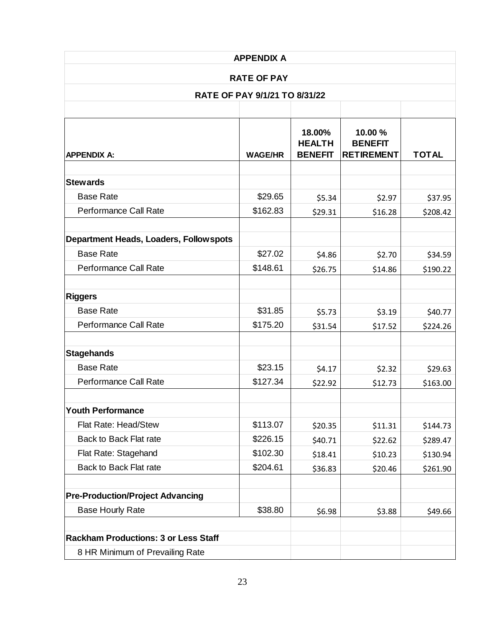| <b>APPENDIX A</b>                              |                               |                                           |                                                |              |
|------------------------------------------------|-------------------------------|-------------------------------------------|------------------------------------------------|--------------|
| <b>RATE OF PAY</b>                             |                               |                                           |                                                |              |
|                                                | RATE OF PAY 9/1/21 TO 8/31/22 |                                           |                                                |              |
|                                                |                               |                                           |                                                |              |
| <b>APPENDIX A:</b>                             | <b>WAGE/HR</b>                | 18.00%<br><b>HEALTH</b><br><b>BENEFIT</b> | 10.00 %<br><b>BENEFIT</b><br><b>RETIREMENT</b> | <b>TOTAL</b> |
| <b>Stewards</b>                                |                               |                                           |                                                |              |
| <b>Base Rate</b>                               | \$29.65                       | \$5.34                                    | \$2.97                                         | \$37.95      |
| Performance Call Rate                          | \$162.83                      | \$29.31                                   | \$16.28                                        | \$208.42     |
| <b>Department Heads, Loaders, Follow spots</b> |                               |                                           |                                                |              |
| <b>Base Rate</b>                               | \$27.02                       | \$4.86                                    | \$2.70                                         | \$34.59      |
| Performance Call Rate                          | \$148.61                      | \$26.75                                   | \$14.86                                        | \$190.22     |
| <b>Riggers</b>                                 |                               |                                           |                                                |              |
| <b>Base Rate</b>                               | \$31.85                       | \$5.73                                    | \$3.19                                         | \$40.77      |
| Performance Call Rate                          | \$175.20                      | \$31.54                                   | \$17.52                                        | \$224.26     |
| <b>Stagehands</b>                              |                               |                                           |                                                |              |
| <b>Base Rate</b>                               | \$23.15                       | \$4.17                                    | \$2.32                                         | \$29.63      |
| Performance Call Rate                          | \$127.34                      | \$22.92                                   | \$12.73                                        | \$163.00     |
| <b>Youth Performance</b>                       |                               |                                           |                                                |              |
| Flat Rate: Head/Stew                           | \$113.07                      | \$20.35                                   | \$11.31                                        | \$144.73     |
| <b>Back to Back Flat rate</b>                  | \$226.15                      | \$40.71                                   | \$22.62                                        | \$289.47     |
| Flat Rate: Stagehand                           | \$102.30                      | \$18.41                                   | \$10.23                                        | \$130.94     |
| <b>Back to Back Flat rate</b>                  | \$204.61                      | \$36.83                                   | \$20.46                                        | \$261.90     |
| <b>Pre-Production/Project Advancing</b>        |                               |                                           |                                                |              |
| <b>Base Hourly Rate</b>                        | \$38.80                       | \$6.98                                    | \$3.88                                         | \$49.66      |
| <b>Rackham Productions: 3 or Less Staff</b>    |                               |                                           |                                                |              |
| 8 HR Minimum of Prevailing Rate                |                               |                                           |                                                |              |
|                                                |                               |                                           |                                                |              |
|                                                | 23                            |                                           |                                                |              |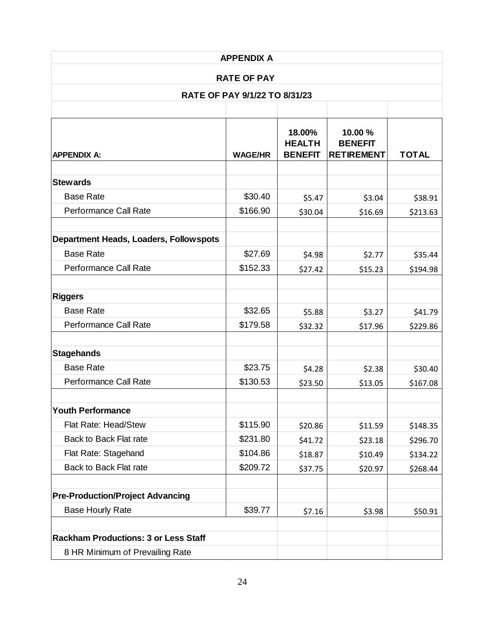| <b>APPENDIX A</b><br><b>RATE OF PAY</b><br>RATE OF PAY 9/1/22 TO 8/31/23 |               |                                                            |                                                            |  |                |                                           |                                                |              |
|--------------------------------------------------------------------------|---------------|------------------------------------------------------------|------------------------------------------------------------|--|----------------|-------------------------------------------|------------------------------------------------|--------------|
|                                                                          |               |                                                            |                                                            |  | <b>WAGE/HR</b> | 18.00%<br><b>HEALTH</b><br><b>BENEFIT</b> | 10.00 %<br><b>BENEFIT</b><br><b>RETIREMENT</b> | <b>TOTAL</b> |
|                                                                          |               |                                                            |                                                            |  |                |                                           |                                                |              |
| \$30.40                                                                  |               |                                                            | \$38.91                                                    |  |                |                                           |                                                |              |
| \$166.90                                                                 | \$30.04       | \$16.69                                                    | \$213.63                                                   |  |                |                                           |                                                |              |
|                                                                          |               |                                                            |                                                            |  |                |                                           |                                                |              |
| \$27.69                                                                  |               |                                                            | \$35.44                                                    |  |                |                                           |                                                |              |
| \$152.33                                                                 | \$27.42       | \$15.23                                                    | \$194.98                                                   |  |                |                                           |                                                |              |
|                                                                          |               |                                                            |                                                            |  |                |                                           |                                                |              |
| \$32.65                                                                  |               |                                                            | \$41.79                                                    |  |                |                                           |                                                |              |
| \$179.58                                                                 | \$32.32       | \$17.96                                                    | \$229.86                                                   |  |                |                                           |                                                |              |
|                                                                          |               |                                                            |                                                            |  |                |                                           |                                                |              |
|                                                                          |               |                                                            | \$30.40                                                    |  |                |                                           |                                                |              |
| \$130.53                                                                 | \$23.50       | \$13.05                                                    | \$167.08                                                   |  |                |                                           |                                                |              |
|                                                                          |               |                                                            |                                                            |  |                |                                           |                                                |              |
| \$115.90                                                                 |               |                                                            | \$148.35                                                   |  |                |                                           |                                                |              |
| \$231.80                                                                 |               |                                                            | \$296.70                                                   |  |                |                                           |                                                |              |
| \$104.86                                                                 | \$18.87       | \$10.49                                                    | \$134.22                                                   |  |                |                                           |                                                |              |
| \$209.72                                                                 | \$37.75       | \$20.97                                                    | \$268.44                                                   |  |                |                                           |                                                |              |
|                                                                          |               |                                                            |                                                            |  |                |                                           |                                                |              |
| \$39.77                                                                  | \$7.16        | \$3.98                                                     | \$50.91                                                    |  |                |                                           |                                                |              |
|                                                                          |               |                                                            |                                                            |  |                |                                           |                                                |              |
|                                                                          |               |                                                            |                                                            |  |                |                                           |                                                |              |
|                                                                          |               |                                                            |                                                            |  |                |                                           |                                                |              |
|                                                                          | \$23.75<br>24 | \$5.47<br>\$4.98<br>\$5.88<br>\$4.28<br>\$20.86<br>\$41.72 | \$3.04<br>\$2.77<br>\$3.27<br>\$2.38<br>\$11.59<br>\$23.18 |  |                |                                           |                                                |              |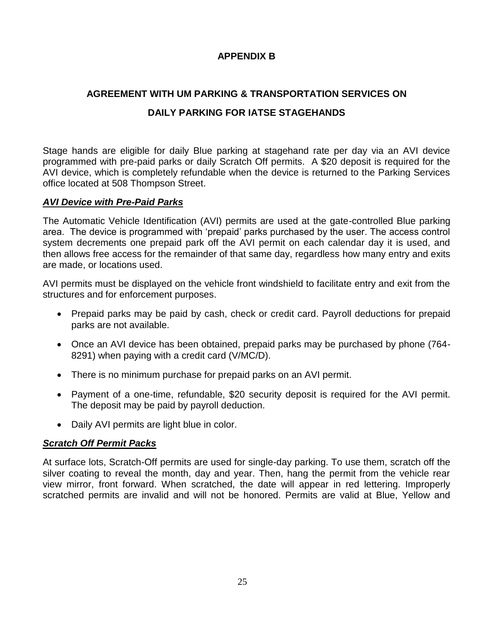## **APPENDIX B**

## **AGREEMENT WITH UM PARKING & TRANSPORTATION SERVICES ON**

## **DAILY PARKING FOR IATSE STAGEHANDS**

Stage hands are eligible for daily Blue parking at stagehand rate per day via an AVI device programmed with pre-paid parks or daily Scratch Off permits. A \$20 deposit is required for the AVI device, which is completely refundable when the device is returned to the Parking Services office located at 508 Thompson Street.

## *AVI Device with Pre-Paid Parks*

The Automatic Vehicle Identification (AVI) permits are used at the gate-controlled Blue parking area. The device is programmed with 'prepaid' parks purchased by the user. The access control system decrements one prepaid park off the AVI permit on each calendar day it is used, and then allows free access for the remainder of that same day, regardless how many entry and exits are made, or locations used.

AVI permits must be displayed on the vehicle front windshield to facilitate entry and exit from the structures and for enforcement purposes.

- Prepaid parks may be paid by cash, check or credit card. Payroll deductions for prepaid parks are not available.
- Once an AVI device has been obtained, prepaid parks may be purchased by phone (764-8291) when paying with a credit card (V/MC/D).
- There is no minimum purchase for prepaid parks on an AVI permit.
- Payment of a one-time, refundable, \$20 security deposit is required for the AVI permit. The deposit may be paid by payroll deduction.
- Daily AVI permits are light blue in color.

## *Scratch Off Permit Packs*

At surface lots, Scratch-Off permits are used for single-day parking. To use them, scratch off the silver coating to reveal the month, day and year. Then, hang the permit from the vehicle rear view mirror, front forward. When scratched, the date will appear in red lettering. Improperly scratched permits are invalid and will not be honored. Permits are valid at Blue, Yellow and